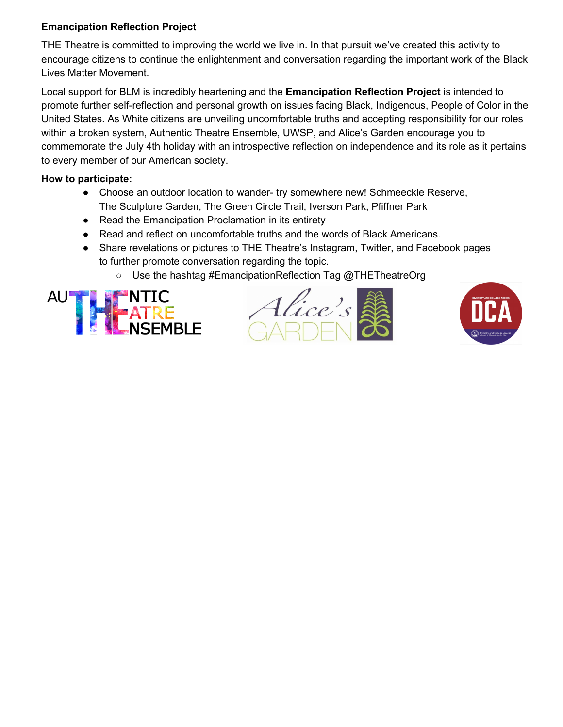## **Emancipation Reflection Project**

THE Theatre is committed to improving the world we live in. In that pursuit we've created this activity to encourage citizens to continue the enlightenment and conversation regarding the important work of the Black Lives Matter Movement.

Local support for BLM is incredibly heartening and the **Emancipation Reflection Project** is intended to promote further self-reflection and personal growth on issues facing Black, Indigenous, People of Color in the United States. As White citizens are unveiling uncomfortable truths and accepting responsibility for our roles within a broken system, Authentic Theatre Ensemble, UWSP, and Alice's Garden encourage you to commemorate the July 4th holiday with an introspective reflection on independence and its role as it pertains to every member of our American society.

## **How to participate:**

- Choose an outdoor location to wander- try somewhere new! Schmeeckle Reserve, The Sculpture Garden, The Green Circle Trail, Iverson Park, Pfiffner Park
- Read the Emancipation Proclamation in its entirety
- Read and reflect on uncomfortable truths and the words of Black Americans.
- Share revelations or pictures to THE Theatre's Instagram, Twitter, and Facebook pages to further promote conversation regarding the topic.
	- Use the hashtag #EmancipationReflection Tag @THETheatreOrg





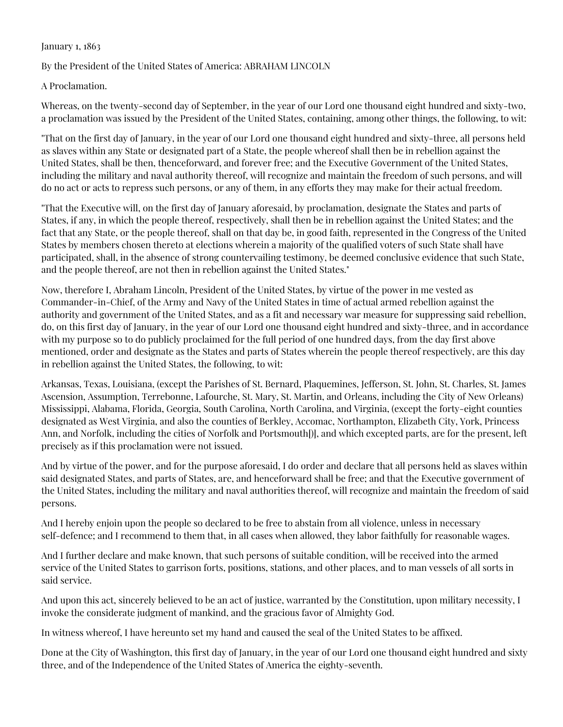## January 1, 1863

By the President of the United States of America: ABRAHAM LINCOLN

A Proclamation.

Whereas, on the twenty-second day of September, in the year of our Lord one thousand eight hundred and sixty-two, a proclamation was issued by the President of the United States, containing, among other things, the following, to wit:

"That on the first day of January, in the year of our Lord one thousand eight hundred and sixty-three, all persons held as slaves within any State or designated part of a State, the people whereof shall then be in rebellion against the United States, shall be then, thenceforward, and forever free; and the Executive Government of the United States, including the military and naval authority thereof, will recognize and maintain the freedom of such persons, and will do no act or acts to repress such persons, or any of them, in any efforts they may make for their actual freedom.

"That the Executive will, on the first day of January aforesaid, by proclamation, designate the States and parts of States, if any, in which the people thereof, respectively, shall then be in rebellion against the United States; and the fact that any State, or the people thereof, shall on that day be, in good faith, represented in the Congress of the United States by members chosen thereto at elections wherein a majority of the qualified voters of such State shall have participated, shall, in the absence of strong countervailing testimony, be deemed conclusive evidence that such State, and the people thereof, are not then in rebellion against the United States."

Now, therefore I, Abraham Lincoln, President of the United States, by virtue of the power in me vested as Commander-in-Chief, of the Army and Navy of the United States in time of actual armed rebellion against the authority and government of the United States, and as a fit and necessary war measure for suppressing said rebellion, do, on this first day of January, in the year of our Lord one thousand eight hundred and sixty-three, and in accordance with my purpose so to do publicly proclaimed for the full period of one hundred days, from the day first above mentioned, order and designate as the States and parts of States wherein the people thereof respectively, are this day in rebellion against the United States, the following, to wit:

Arkansas, Texas, Louisiana, (except the Parishes of St. Bernard, Plaquemines, Jefferson, St. John, St. Charles, St. James Ascension, Assumption, Terrebonne, Lafourche, St. Mary, St. Martin, and Orleans, including the City of New Orleans) Mississippi, Alabama, Florida, Georgia, South Carolina, North Carolina, and Virginia, (except the forty-eight counties designated as West Virginia, and also the counties of Berkley, Accomac, Northampton, Elizabeth City, York, Princess Ann, and Norfolk, including the cities of Norfolk and Portsmouth[)], and which excepted parts, are for the present, left precisely as if this proclamation were not issued.

And by virtue of the power, and for the purpose aforesaid, I do order and declare that all persons held as slaves within said designated States, and parts of States, are, and henceforward shall be free; and that the Executive government of the United States, including the military and naval authorities thereof, will recognize and maintain the freedom of said persons.

And I hereby enjoin upon the people so declared to be free to abstain from all violence, unless in necessary self-defence; and I recommend to them that, in all cases when allowed, they labor faithfully for reasonable wages.

And I further declare and make known, that such persons of suitable condition, will be received into the armed service of the United States to garrison forts, positions, stations, and other places, and to man vessels of all sorts in said service.

And upon this act, sincerely believed to be an act of justice, warranted by the Constitution, upon military necessity, I invoke the considerate judgment of mankind, and the gracious favor of Almighty God.

In witness whereof, I have hereunto set my hand and caused the seal of the United States to be affixed.

Done at the City of Washington, this first day of January, in the year of our Lord one thousand eight hundred and sixty three, and of the Independence of the United States of America the eighty-seventh.